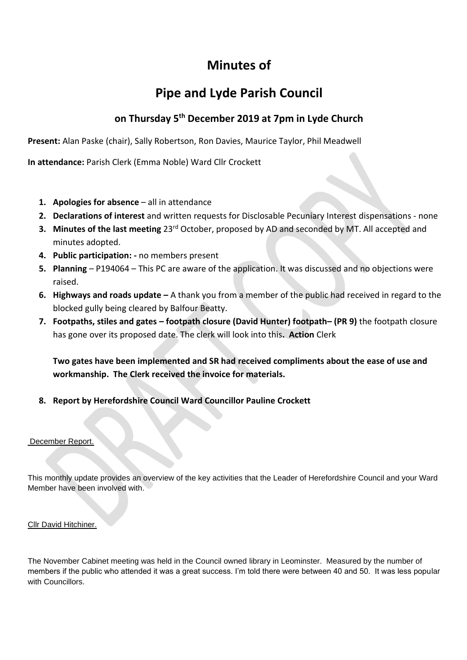## **Minutes of**

# **Pipe and Lyde Parish Council**

### **on Thursday 5th December 2019 at 7pm in Lyde Church**

**Present:** Alan Paske (chair), Sally Robertson, Ron Davies, Maurice Taylor, Phil Meadwell

**In attendance:** Parish Clerk (Emma Noble) Ward Cllr Crockett

- **1. Apologies for absence** all in attendance
- **2. Declarations of interest** and written requests for Disclosable Pecuniary Interest dispensations none
- **3. Minutes of the last meeting** 23rd October, proposed by AD and seconded by MT. All accepted and minutes adopted.
- **4. Public participation: -** no members present
- **5. Planning** P194064 This PC are aware of the application. It was discussed and no objections were raised.
- **6. Highways and roads update –** A thank you from a member of the public had received in regard to the blocked gully being cleared by Balfour Beatty.
- **7. Footpaths, stiles and gates – footpath closure (David Hunter) footpath– (PR 9)** the footpath closure has gone over its proposed date. The clerk will look into this**. Action** Clerk

**Two gates have been implemented and SR had received compliments about the ease of use and workmanship. The Clerk received the invoice for materials.** 

**8. Report by Herefordshire Council Ward Councillor Pauline Crockett**

### December Report.

This monthly update provides an overview of the key activities that the Leader of Herefordshire Council and your Ward Member have been involved with.

Cllr David Hitchiner.

The November Cabinet meeting was held in the Council owned library in Leominster. Measured by the number of members if the public who attended it was a great success. I'm told there were between 40 and 50. It was less popular with Councillors.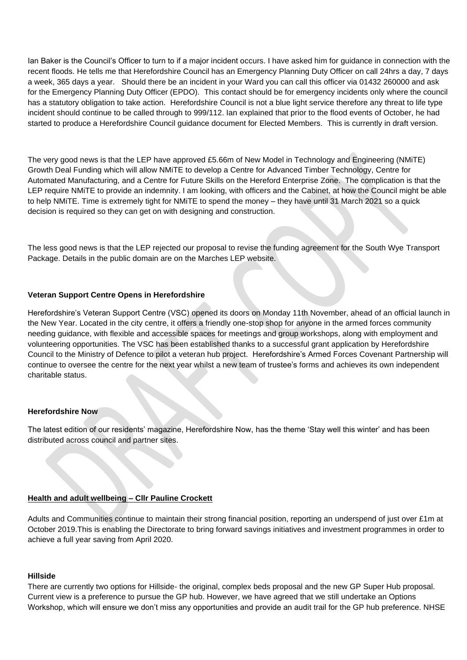Ian Baker is the Council's Officer to turn to if a major incident occurs. I have asked him for guidance in connection with the recent floods. He tells me that Herefordshire Council has an Emergency Planning Duty Officer on call 24hrs a day, 7 days a week, 365 days a year. Should there be an incident in your Ward you can call this officer via 01432 260000 and ask for the Emergency Planning Duty Officer (EPDO). This contact should be for emergency incidents only where the council has a statutory obligation to take action. Herefordshire Council is not a blue light service therefore any threat to life type incident should continue to be called through to 999/112. Ian explained that prior to the flood events of October, he had started to produce a Herefordshire Council guidance document for Elected Members. This is currently in draft version.

The very good news is that the LEP have approved £5.66m of New Model in Technology and Engineering (NMiTE) Growth Deal Funding which will allow NMiTE to develop a Centre for Advanced Timber Technology, Centre for Automated Manufacturing, and a Centre for Future Skills on the Hereford Enterprise Zone. The complication is that the LEP require NMiTE to provide an indemnity. I am looking, with officers and the Cabinet, at how the Council might be able to help NMiTE. Time is extremely tight for NMiTE to spend the money – they have until 31 March 2021 so a quick decision is required so they can get on with designing and construction.

The less good news is that the LEP rejected our proposal to revise the funding agreement for the South Wye Transport Package. Details in the public domain are on the Marches LEP website.

#### **Veteran Support Centre Opens in Herefordshire**

Herefordshire's Veteran Support Centre (VSC) opened its doors on Monday 11th November, ahead of an official launch in the New Year. Located in the city centre, it offers a friendly one-stop shop for anyone in the armed forces community needing guidance, with flexible and accessible spaces for meetings and group workshops, along with employment and volunteering opportunities. The VSC has been established thanks to a successful grant application by Herefordshire Council to the Ministry of Defence to pilot a veteran hub project. Herefordshire's Armed Forces Covenant Partnership will continue to oversee the centre for the next year whilst a new team of trustee's forms and achieves its own independent charitable status.

#### **Herefordshire Now**

The latest edition of our residents' magazine, Herefordshire Now, has the theme 'Stay well this winter' and has been distributed across council and partner sites.

#### **Health and adult wellbeing – Cllr Pauline Crockett**

Adults and Communities continue to maintain their strong financial position, reporting an underspend of just over £1m at October 2019.This is enabling the Directorate to bring forward savings initiatives and investment programmes in order to achieve a full year saving from April 2020.

#### **Hillside**

There are currently two options for Hillside- the original, complex beds proposal and the new GP Super Hub proposal. Current view is a preference to pursue the GP hub. However, we have agreed that we still undertake an Options Workshop, which will ensure we don't miss any opportunities and provide an audit trail for the GP hub preference. NHSE